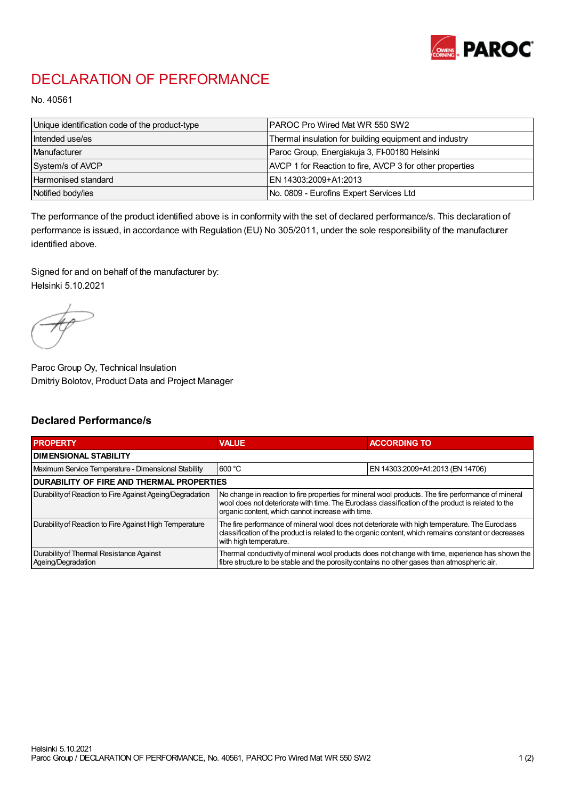

## DECLARATION OF PERFORMANCE

No. 40561

| Unique identification code of the product-type | IPAROC Pro Wired Mat WR 550 SW2                          |
|------------------------------------------------|----------------------------------------------------------|
| Intended use/es                                | Thermal insulation for building equipment and industry   |
| Manufacturer                                   | Paroc Group, Energiakuja 3, FI-00180 Helsinki            |
| System/s of AVCP                               | AVCP 1 for Reaction to fire, AVCP 3 for other properties |
| Harmonised standard                            | IEN 14303:2009+A1:2013                                   |
| Notified body/ies                              | No. 0809 - Eurofins Expert Services Ltd                  |

The performance of the product identified above is in conformity with the set of declared performance/s. This declaration of performance is issued, in accordance with Regulation (EU) No 305/2011, under the sole responsibility of the manufacturer identified above.

Signed for and on behalf of the manufacturer by: Helsinki 5.10.2021

Paroc Group Oy, Technical Insulation Dmitriy Bolotov, Product Data and Project Manager

## Declared Performance/s

| <b>PROPERTY</b>                                                | <b>VALUE</b>                                                                                                                                                                                                                                                   | <b>ACCORDING TO</b>              |  |
|----------------------------------------------------------------|----------------------------------------------------------------------------------------------------------------------------------------------------------------------------------------------------------------------------------------------------------------|----------------------------------|--|
| <b>DIMENSIONAL STABILITY</b>                                   |                                                                                                                                                                                                                                                                |                                  |  |
| Maximum Service Temperature - Dimensional Stability            | 600 °C                                                                                                                                                                                                                                                         | EN 14303:2009+A1:2013 (EN 14706) |  |
| <b>DURABILITY OF FIRE AND THERMAL PROPERTIES</b>               |                                                                                                                                                                                                                                                                |                                  |  |
| Durability of Reaction to Fire Against Ageing/Degradation      | No change in reaction to fire properties for mineral wool products. The fire performance of mineral<br>wool does not deteriorate with time. The Euroclass classification of the product is related to the<br>organic content, which cannot increase with time. |                                  |  |
| Durability of Reaction to Fire Against High Temperature        | The fire performance of mineral wool does not deteriorate with high temperature. The Euroclass<br>classification of the product is related to the organic content, which remains constant or decreases<br>with high temperature.                               |                                  |  |
| Durability of Thermal Resistance Against<br>Ageing/Degradation | Thermal conductivity of mineral wool products does not change with time, experience has shown the<br>fibre structure to be stable and the porosity contains no other gases than atmospheric air.                                                               |                                  |  |